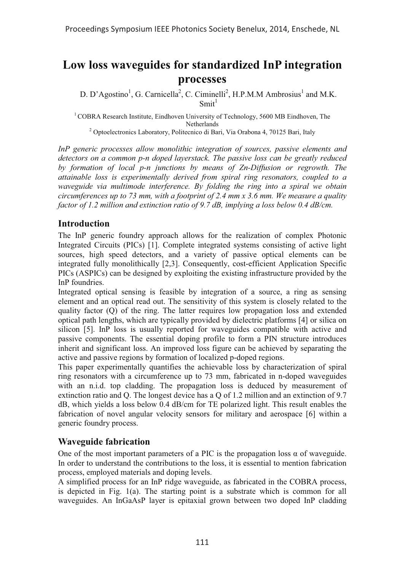# **Low loss waveguides for standardized InP integration processes**

D. D'Agostino<sup>1</sup>, G. Carnicella<sup>2</sup>, C. Ciminelli<sup>2</sup>, H.P.M.M Ambrosius<sup>1</sup> and M.K.  $Smith<sup>1</sup>$ 

<sup>1</sup> COBRA Research Institute, Eindhoven University of Technology, 5600 MB Eindhoven, The Netherlands 2 Optoelectronics Laboratory, Politecnico di Bari, Via Orabona 4, 70125 Bari, Italy

*InP generic processes allow monolithic integration of sources, passive elements and detectors on a common p-n doped layerstack. The passive loss can be greatly reduced by formation of local p-n junctions by means of Zn-Diffusion or regrowth. The attainable loss is experimentally derived from spiral ring resonators, coupled to a waveguide via multimode interference. By folding the ring into a spiral we obtain circumferences up to 73 mm, with a footprint of 2.4 mm x 3.6 mm. We measure a quality factor of 1.2 million and extinction ratio of 9.7 dB, implying a loss below 0.4 dB/cm.* 

## **Introduction**

The InP generic foundry approach allows for the realization of complex Photonic Integrated Circuits (PICs) [1]. Complete integrated systems consisting of active light sources, high speed detectors, and a variety of passive optical elements can be integrated fully monolithically [2,3]. Consequently, cost-efficient Application Specific PICs (ASPICs) can be designed by exploiting the existing infrastructure provided by the InP foundries.

Integrated optical sensing is feasible by integration of a source, a ring as sensing element and an optical read out. The sensitivity of this system is closely related to the quality factor (Q) of the ring. The latter requires low propagation loss and extended optical path lengths, which are typically provided by dielectric platforms [4] or silica on silicon [5]. InP loss is usually reported for waveguides compatible with active and passive components. The essential doping profile to form a PIN structure introduces inherit and significant loss. An improved loss figure can be achieved by separating the active and passive regions by formation of localized p-doped regions.

This paper experimentally quantifies the achievable loss by characterization of spiral ring resonators with a circumference up to 73 mm, fabricated in n-doped waveguides with an n.i.d. top cladding. The propagation loss is deduced by measurement of extinction ratio and Q. The longest device has a Q of 1.2 million and an extinction of 9.7 dB, which yields a loss below 0.4 dB/cm for TE polarized light. This result enables the fabrication of novel angular velocity sensors for military and aerospace [6] within a generic foundry process.

### **Waveguide fabrication**

One of the most important parameters of a PIC is the propagation loss  $\alpha$  of waveguide. In order to understand the contributions to the loss, it is essential to mention fabrication process, employed materials and doping levels.

A simplified process for an InP ridge waveguide, as fabricated in the COBRA process, is depicted in Fig. 1(a). The starting point is a substrate which is common for all waveguides. An InGaAsP layer is epitaxial grown between two doped InP cladding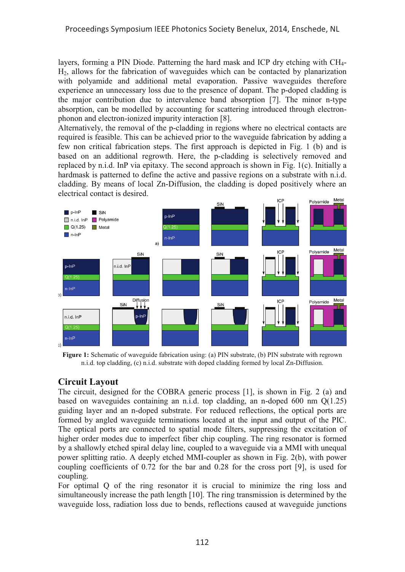layers, forming a PIN Diode. Patterning the hard mask and ICP dry etching with CH4- H2, allows for the fabrication of waveguides which can be contacted by planarization with polyamide and additional metal evaporation. Passive waveguides therefore experience an unnecessary loss due to the presence of dopant. The p-doped cladding is the major contribution due to intervalence band absorption [7]. The minor n-type absorption, can be modelled by accounting for scattering introduced through electronphonon and electron-ionized impurity interaction [8].

Alternatively, the removal of the p-cladding in regions where no electrical contacts are required is feasible. This can be achieved prior to the waveguide fabrication by adding a few non critical fabrication steps. The first approach is depicted in Fig. 1 (b) and is based on an additional regrowth. Here, the p-cladding is selectively removed and replaced by n.i.d. InP via epitaxy. The second approach is shown in Fig. 1(c). Initially a hardmask is patterned to define the active and passive regions on a substrate with n.i.d. cladding. By means of local Zn-Diffusion, the cladding is doped positively where an electrical contact is desired.



**Figure 1:** Schematic of waveguide fabrication using: (a) PIN substrate, (b) PIN substrate with regrown n.i.d. top cladding, (c) n.i.d. substrate with doped cladding formed by local Zn-Diffusion.

### **Circuit Layout**

The circuit, designed for the COBRA generic process [1], is shown in Fig. 2 (a) and based on waveguides containing an n.i.d. top cladding, an n-doped 600 nm  $Q(1.25)$ guiding layer and an n-doped substrate. For reduced reflections, the optical ports are formed by angled waveguide terminations located at the input and output of the PIC. The optical ports are connected to spatial mode filters, suppressing the excitation of higher order modes due to imperfect fiber chip coupling. The ring resonator is formed by a shallowly etched spiral delay line, coupled to a waveguide via a MMI with unequal power splitting ratio. A deeply etched MMI-coupler as shown in Fig. 2(b), with power coupling coefficients of 0.72 for the bar and 0.28 for the cross port [9], is used for coupling.

For optimal Q of the ring resonator it is crucial to minimize the ring loss and simultaneously increase the path length [10]. The ring transmission is determined by the waveguide loss, radiation loss due to bends, reflections caused at waveguide junctions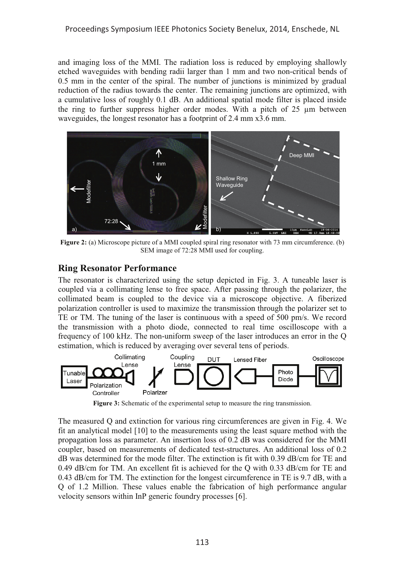and imaging loss of the MMI. The radiation loss is reduced by employing shallowly etched waveguides with bending radii larger than 1 mm and two non-critical bends of 0.5 mm in the center of the spiral. The number of junctions is minimized by gradual reduction of the radius towards the center. The remaining junctions are optimized, with a cumulative loss of roughly 0.1 dB. An additional spatial mode filter is placed inside the ring to further suppress higher order modes. With a pitch of 25 μm between waveguides, the longest resonator has a footprint of 2.4 mm x3.6 mm.



**Figure 2:** (a) Microscope picture of a MMI coupled spiral ring resonator with 73 mm circumference. (b) SEM image of 72:28 MMI used for coupling.

### **Ring Resonator Performance**

The resonator is characterized using the setup depicted in Fig. 3. A tuneable laser is coupled via a collimating lense to free space. After passing through the polarizer, the collimated beam is coupled to the device via a microscope objective. A fiberized polarization controller is used to maximize the transmission through the polarizer set to TE or TM. The tuning of the laser is continuous with a speed of 500 pm/s. We record the transmission with a photo diode, connected to real time oscilloscope with a frequency of 100 kHz. The non-uniform sweep of the laser introduces an error in the Q estimation, which is reduced by averaging over several tens of periods.



**Figure 3:** Schematic of the experimental setup to measure the ring transmission.

The measured Q and extinction for various ring circumferences are given in Fig. 4. We fit an analytical model [10] to the measurements using the least square method with the propagation loss as parameter. An insertion loss of 0.2 dB was considered for the MMI coupler, based on measurements of dedicated test-structures. An additional loss of 0.2 dB was determined for the mode filter. The extinction is fit with 0.39 dB/cm for TE and 0.49 dB/cm for TM. An excellent fit is achieved for the Q with 0.33 dB/cm for TE and 0.43 dB/cm for TM. The extinction for the longest circumference in TE is 9.7 dB, with a Q of 1.2 Million. These values enable the fabrication of high performance angular velocity sensors within InP generic foundry processes [6].